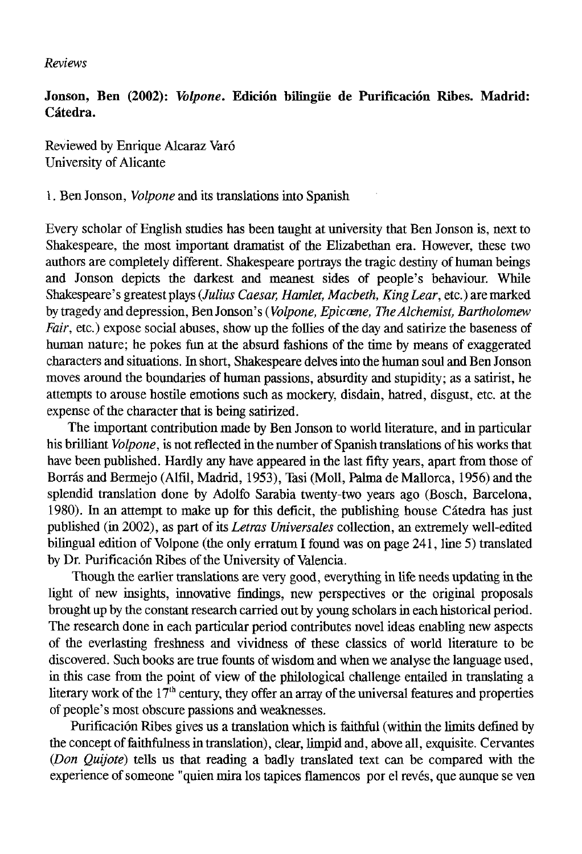*Reviews* 

**Jonson, Ben (2002):** *Volpone.* **Edición bilingüe de Purificación Ribes. Madrid: Cátedra.** 

Reviewed by Enrique Alcaraz Varó University of Alicante

1. Ben Jonson, *Volpone* and its translations into Spanish

Every scholar of English studies has been taught at university that Ben Jonson is, next to Shakespeare, the most important dramatist of the Elizabethan era. However, these two authors are completely different. Shakespeare portrays the tragic destiny of human beings and Jonson depicts the darkest and meanest sides of people's behaviour. While Shakespeare's greatest plays *(Julius Caesar, Hamlet, Macbeth, King Lear, etc.)* are marked by tragedy and depression, Ben Jonson's (Volpone, *Epic cene*, The Alchemist, Bartholomew *Fair*, etc.) expose social abuses, show up the follies of the day and satirize the baseness of human nature; he pokes fun at the absurd fashions of the time by means of exaggerated characters and situations. In short, Shakespeare delves into the human soul and Ben Jonson moves around the boundaries of human passions, absurdity and stupidity; as a satirist, he attempts to arouse hostile emotions such as mockery, disdain, hatred, disgust, etc. at the expense of the character that is being satirized.

The important contribution made by Ben Jonson to world literature, and in particular his brilliant *Volpone,* is not reflected in the number of Spanish translations of his works that have been published. Hardly any have appeared in the last fifty years, apart from those of Borrás and Bermejo (Alfil, Madrid, 1953), Tasi (Moll, Palma de Mallorca, 1956) and the splendid translation done by Adolfo Sarabia twenty-two years ago (Bosch, Barcelona, 1980). In an attempt to make up for this déficit, the publishing house Cátedra has just published (in 2002), as part of its *Letras Universales* collection, an extremely well-edited bilingual edition of Volpone (the only erratum I found was on page 241, line 5) translated by Dr. Purificación Ribes of the University of Valencia.

Though the earlier translations are very good, everything in life needs updating in the light of new insights, innovative findings, new perspectives or the original proposals brought up by the constant research carried out by young scholars in each historical period. The research done in each particular period contributes novel ideas enabling new aspects of the everlasting freshness and vividness of these classics of world literature to be discovered. Such books are trae founts of wisdom and when we analyse the language used, in this case from the point of view of the philological challenge entailed in translating a literary work of the  $17<sup>th</sup>$  century, they offer an array of the universal features and properties of people's most obscure passions and weaknesses.

Purificación Ribes gives us a translation which is faithful (within the limits defined by the concept of faithfulness in translation), clear, limpid and, above all, exquisite. Cervantes *(Don Quijote)* tells us that reading a badly translated text can be compared with the experience of someone "quien mira los tapices flamencos por el revés, que aunque se ven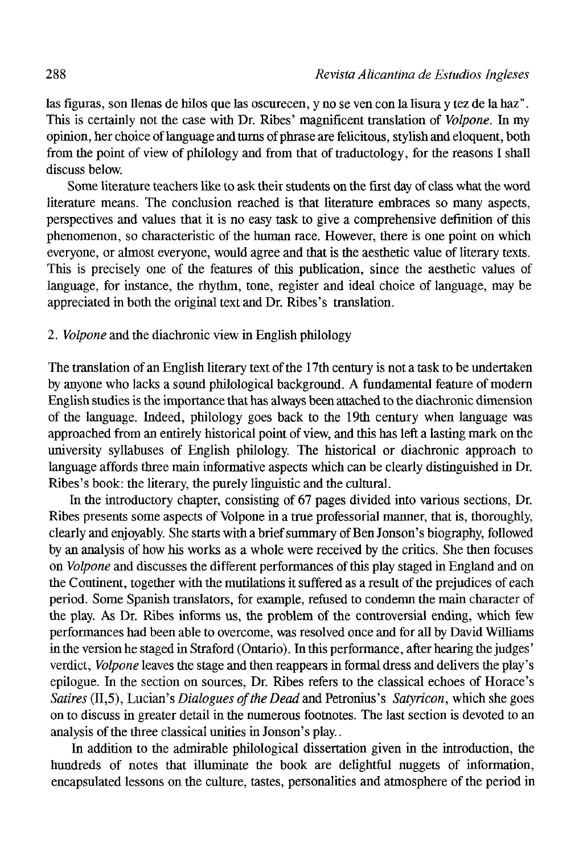las figuras, son llenas de hilos que las oscurecen, y no se ven con la lisura y tez de la haz". This is certainly not the case with Dr. Ribes' magnificent translation of *Volpone.* In my opinión, her choice of language and turns of phrase are felicitous, stylish and eloquent, both from the point of view of philology and from that of traductology, for the reasons I shall discuss below.

Some literature teachers like to ask their students on the first day of class what the word literature means. The conclusión reached is that literature embraces so many aspects, perspectives and valúes that it is no easy task to give a comprehensive definition of this phenomenon, so characteristic of the human race. However, there is one point on which everyone, or almost everyone, would agree and that is the aesthetic value of literary texts. This is precisely one of the features of this publication, since the aesthetic valúes of language, for instance, the rhythm, tone, register and ideal choice of language, may be appreciated in both the original text and Dr. Ribes's translation.

## 2. *Volpone* and the diachronic view in English philology

The translation of an English literary text of the 17th century is not a task to be undertaken by anyone who lacks a sound philological background. A fundamental feature of modern English studies is the importance that has always been attached to the diachronic dimensión of the language. Indeed, philology goes back to the 19th century when language was approached from an entirely historical point of view, and this has left a lasting mark on the university syllabuses of English philology. The historical or diachronic approach to language affords three main informative aspects which can be clearly distinguished in Dr. Ribes's book: the literary, the purely linguistic and the cultural.

In the introductory chapter, consisting of 67 pages divided into various sections, Dr. Ribes presents some aspects of Volpone in a trae professorial manner, that is, thoroughly, clearly and enjoyably. She starts with a brief summary of Ben Jonson's biography, followed by an analysis of how his works as a whole were received by the critics. She then focuses on *Volpone* and discusses the different performances of this play staged in England and on the Continent, together with the mutilations it suffered as a result of the prejudices of each period. Some Spanish translators, for example, refused to condemn the main character of the play. As Dr. Ribes informs us, the problem of the controversial ending, which few performances had been able to overeóme, was resolved once and for all by David Williams in the version he staged in Straford (Ontario). In this performance, after hearing the judges' verdict, *Volpone* leaves the stage and then reappears in formal dress and delivers the play's epilogue. In the section on sources, Dr. Ribes refers to the classical echoes of Horace's *Satires* (II,5), Lucian's *Dialogues of the Dead* and Petronius's *Satyricon*, which she goes on to discuss in greater detail in the numerous footnotes. The last section is devoted to an analysis of the three classical unities in Jonson's play..

In addition to the admirable philological dissertation given in the introduction, the hundreds of notes that illuminate the book are delightful nuggets of information, encapsulated lessons on the culture, tastes, personalities and atmosphere of the period in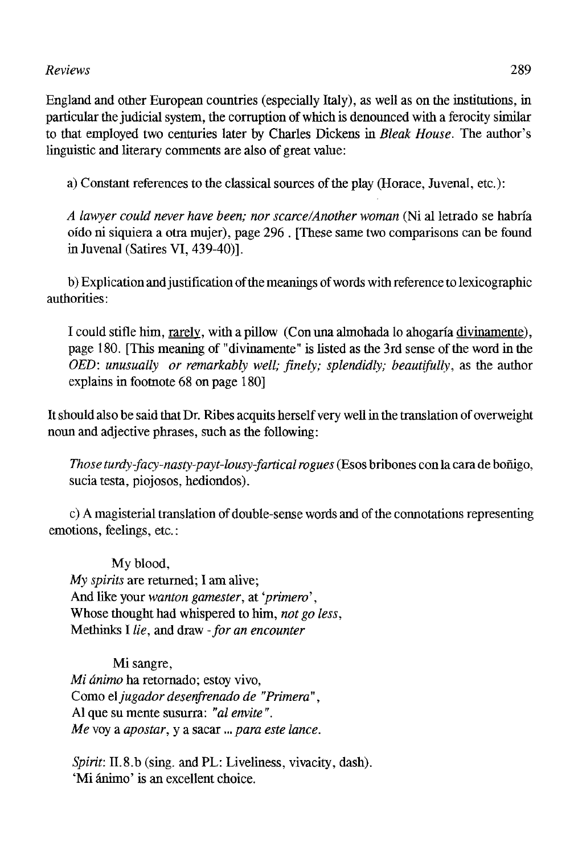## *Reviews* 289

England and other European countries (especially Italy), as well as on the institutions, in particular the judicial system, the corruption of which is denounced with a ferocity similar to that employed two centuries later by Charles Dickens in *Bleak House.* The author's linguistic and literary comments are also of great valué:

a) Constant references to the classical sources of the play (Horace, Juvenal, etc.):

*A lawyer could never have been; ñor scarce/Another woman* (Ni al letrado se habría oído ni siquiera a otra mujer), page 296 . [These same two comparisons can be found in Juvenal (Satires VI, 439-40)].

b) Explication and justification of the meanings of words with reference to lexicographic authorities:

I could stifle him, rarelv. with a pillow (Con una almohada lo ahogaría divinamente), page 180. [This meaning of "divinamente" is listed as the 3rd sense of the word in the *OED: unusually or remarkably well; flnely; splendidly; beautifully,* as the author explains in footnote 68 on page 180]

It should also be said that Dr. Ribes acquits herself very well in the translation of overweight noun and adjective phrases, such as the following:

*Those turdy-facy-nasty-payt-lousy-fartical rogues* (Esos bribones con la cara de boñigo, sucia testa, piojosos, hediondos).

c) A magisterial translation of double-sense words and of the connotations representing emotions, feelings, etc.:

My blood, *My spirits* are returned; I am alive; And like your *wanton gamester,* at *'primero',*  Whose thought had whispered to him, *not go less,*  Methinks I lie, and draw - for an encounter

Mi sangre, *Mi ánimo* ha retornado; estoy vivo, Como el *jugador desenfrenado de "Primera",*  Al que su mente susurra: *"al envite". Me* voy a *apostar,* y a sacar... *para este lance.* 

*Spirit:* II.8.b (sing. and PL: Liveliness, vivacity, dash). 'Mi ánimo' is an excellent choice.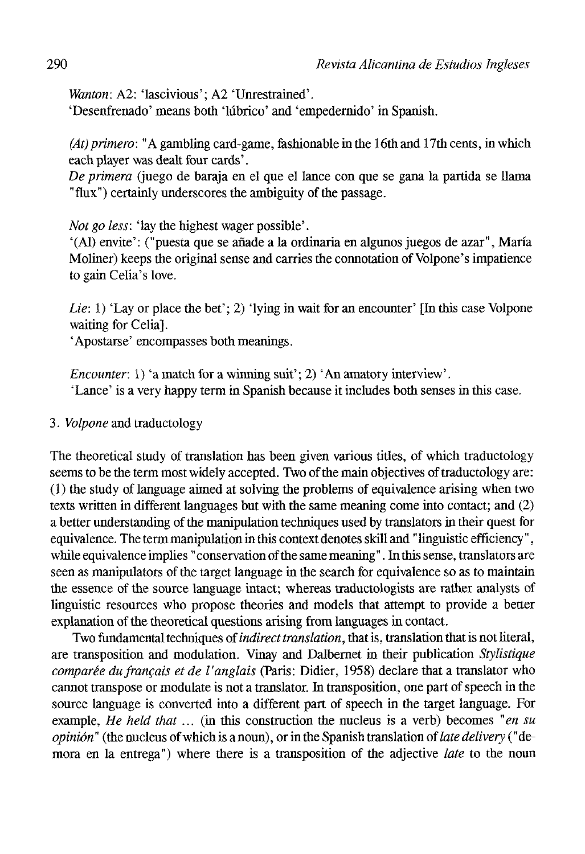*Wanton:* A2: 'lascivious'; A2 'Unrestrained'.

'Desenfrenado' means both 'lúbrico' and 'empedernido' in Spanish.

*(At)primero:* "A gambling card-game, fashionable inthe 16thand 17th cents, in which each player was dealt four cards'.

*De primera* (juego de baraja en el que el lance con que se gana la partida se llama "flux") certainly underscores the ambiguity of the passage.

*Not go less:* 'lay the highest wager possible'.

'(Al) envite': ("puesta que se añade a la ordinaria en algunos juegos de azar", María Moliner) keeps the original sense and carries the connotation of Volpone's impatience to gain Celia's love.

*Lie*: 1) 'Lay or place the bet'; 2) 'lying in wait for an encounter' [In this case Volpone waiting for Celia].

'Apostarse' encompasses both meanings.

*Encounter:* 1) 'a match for a winning suit'; 2) 'An amatory interview'. 'Lance' is a very happy term in Spanish because it includes both senses in this case.

3. *Volpone* and traductology

The theoretical study of translation has been given various titles, of which traductology seems to be the term most widely accepted. Two of the main objectives of traductology are: (1) the study of language aimed at solving the problems of equivalence arising when two texts written in different languages but with the same meaning come into contact; and (2) a better understanding of the manipulation techniques used by translators in their quest for equivalence. The term manipulation in this context denotes skill and "linguistic efficiency", while equivalence implies "conservation of the same meaning". In this sense, translators are seen as manipulators of the target language in the search for equivalence so as to maintain the essence of the source language intact; whereas traductologists are rather analysts of linguistic resources who propose theories and models that attempt to provide a better explanation of the theoretical questions arising from languages in contact.

Two fundamental techniques of *indirect translation*, that is, translation that is not literal, are transposition and modulation. Vinay and Dalbernet in their publication *Stylistique comparée dufrancais etde l'anglais* (Paris: Didier, 1958) declare that a translator who cannot transpose or modulate is not a translator. In transposition, one part of speech in the source language is converted into a different part of speech in the target language. For example, *He held that* ... (in this construction the nucleus is a verb) becomes *"en su opinión*" (the nucleus of which is a noun), or in the Spanish translation of late delivery ("demora en la entrega") where there is a transposition of the adjective *late* to the noun